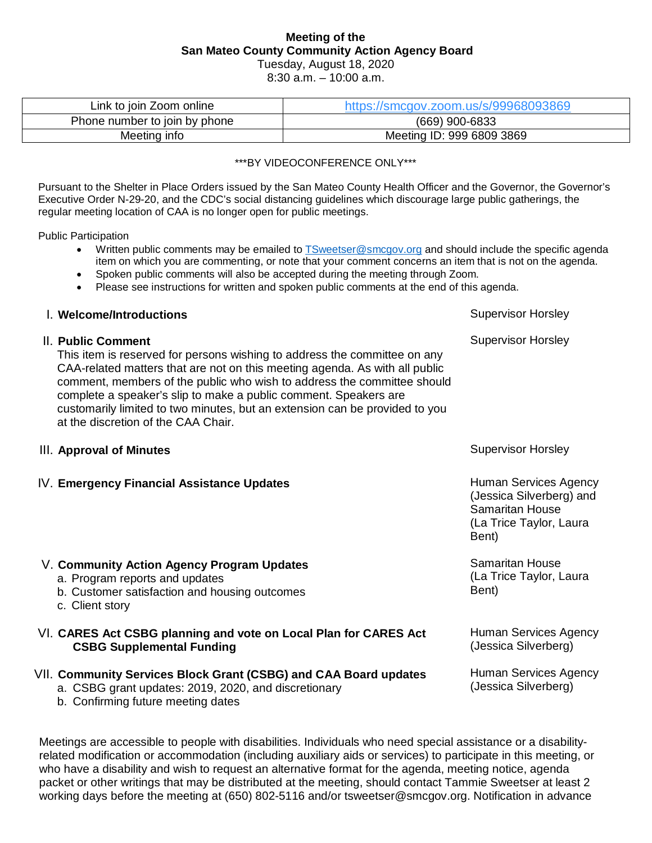# **Meeting of the San Mateo County Community Action Agency Board**

Tuesday, August 18, 2020 8:30 a.m. – 10:00 a.m.

| Link to join Zoom online      | https://smcgov.zoom.us/s/99968093869 |  |  |  |  |
|-------------------------------|--------------------------------------|--|--|--|--|
| Phone number to join by phone | (669) 900-6833                       |  |  |  |  |
| Meeting info                  | Meeting ID: 999 6809 3869            |  |  |  |  |

\*\*\*BY VIDEOCONFERENCE ONLY\*\*\*

Pursuant to the Shelter in Place Orders issued by the San Mateo County Health Officer and the Governor, the Governor's Executive Order N-29-20, and the CDC's social distancing guidelines which discourage large public gatherings, the regular meeting location of CAA is no longer open for public meetings.

Public Participation

- Written public comments may be emailed t[o TSweetser@smcgov.org](mailto:TSweetser@smcgov.org) and should include the specific agenda item on which you are commenting, or note that your comment concerns an item that is not on the agenda.
- Spoken public comments will also be accepted during the meeting through Zoom.
- Please see instructions for written and spoken public comments at the end of this agenda.

### **I. Welcome/Introductions** and the state of the state of the state of the Supervisor Horsley and Supervisor Supervisor  $\sim$

#### II. **Public Comment**

This item is reserved for persons wishing to address the committee on any CAA-related matters that are not on this meeting agenda. As with all public comment, members of the public who wish to address the committee should complete a speaker's slip to make a public comment. Speakers are customarily limited to two minutes, but an extension can be provided to you at the discretion of the CAA Chair.

#### **III. Approval of Minutes** Supervisor Horsley

c. Client story

IV. **Emergency Financial Assistance Updates**

V. **Community Action Agency Program Updates**

b. Customer satisfaction and housing outcomes

Supervisor Horsley

Human Services Agency (Jessica Silverberg) and Samaritan House (La Trice Taylor, Laura Bent)

Samaritan House (La Trice Taylor, Laura Bent)

Human Services Agency (Jessica Silverberg)

Human Services Agency (Jessica Silverberg)

|  | VII. Community Services Block Grant (CSBG) and CAA Board updates |  |  |  |  |  |  |  |  |
|--|------------------------------------------------------------------|--|--|--|--|--|--|--|--|
|--|------------------------------------------------------------------|--|--|--|--|--|--|--|--|

VI. **CARES Act CSBG planning and vote on Local Plan for CARES Act** 

- a. CSBG grant updates: 2019, 2020, and discretionary
- b. Confirming future meeting dates

**CSBG Supplemental Funding**

a. Program reports and updates

Meetings are accessible to people with disabilities. Individuals who need special assistance or a disabilityrelated modification or accommodation (including auxiliary aids or services) to participate in this meeting, or who have a disability and wish to request an alternative format for the agenda, meeting notice, agenda packet or other writings that may be distributed at the meeting, should contact Tammie Sweetser at least 2 working days before the meeting at (650) 802-5116 and/or tsweetser@smcgov.org. Notification in advance